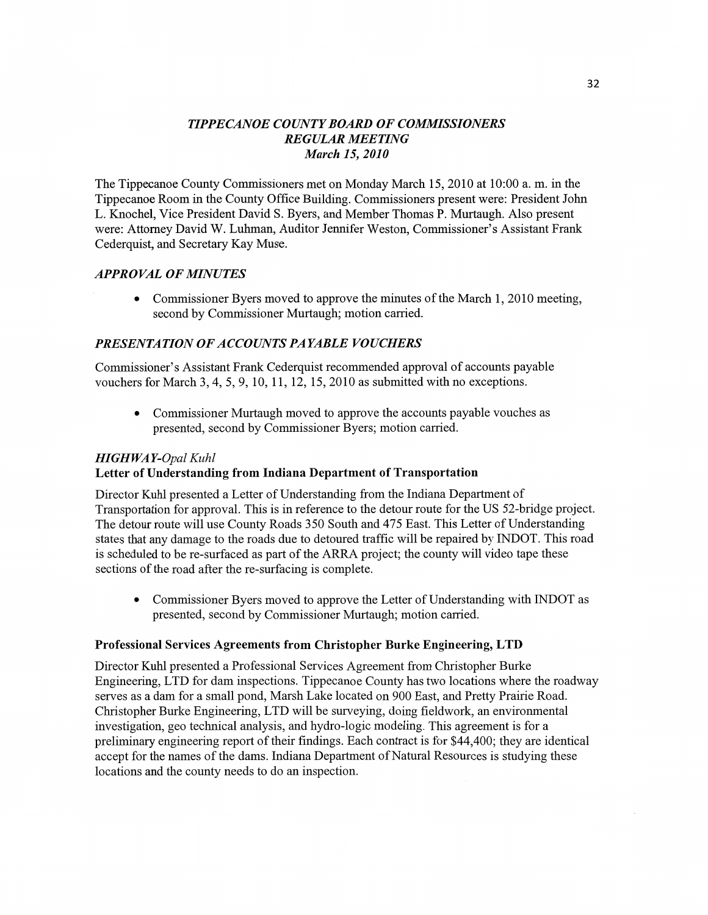## *TIPPE CANOE* COW TY *BOARD* OF *COMMISSIONERS REGULAR MEETING March* 15, *2010*

The Tippecanoe County Commissioners met on Monday March 15, 2010 at **10:00** a. m. in the Tippecanoe Room in the County Office Building. Commissioners present were: President John L. Knochel, **Vice** President David S. Byers, and Member Thomas P. Murtaugh. Also presen<sup>t</sup> were: Attorney **David** W. Luhman, Auditor Jennifer Weston, Commissioner's Assistant Frank Cederquist, and Secretary Kay Muse.

## *APPROVAL* OF *MINUTES*

**0** Commissioner Byers moved to approve the minutes of the March 1, 2010 meeting, second by Commissioner Murtaugh; motion carried.

## *PRESENTATION 0FACCOIHVTS PAYABLE VOUCHERS*

Commissioner's Assistant Frank Cederquist recommended approval of accounts payable vouchers for March 3, 4, 5, 9, 10, 11, 12, 15, 2010 as submitted with no exceptions.

**0** Commissioner Murtaugh moved to approve the accounts payable vouches as presented, second by Commissioner Byers; motion carried.

### *HIGH* WA *Y-Opal Kuhl*  **Letter** of Understanding **from** Indiana **Department** of **Transportation**

Director Kuhl presented a Letter of Understanding from the Indiana Department of Transportation for approval. **This** is in reference to the detour route for the US 52-bridge project. The detour route will use County Roads 350 South and 475 East. **This** Letter of Understanding states **that** any damage to the roads due to detoured traffic will be repaired by INDOT. **This** road is scheduled to be re-surfaced as part of the ARRA project; the county will video tape these sections of the road after the re-surfacing is complete.

**0** Commissioner Byers moved to approve the Letter of Understanding with INDOT as presented, second by Commissioner Murtaugh; motion carried.

### **Professional** Services Agreements **from** Christopher **Burke** Engineering, LTD

Director Kuhl presented a Professional Services Agreement from Christopher Burke Engineering, LTD for dam inspections. Tippecanoe County has two locations where the roadway serves as <sup>a</sup>dam for a small pond, Marsh Lake located on 900 East, and Pretty Prairie Road. Christopher Burke Engineering, LTD will be surveying, doing fieldwork, an environmental investigation, geo technical analysis, and hydro-logic modeling. This agreement is for <sup>a</sup> preliminary engineering report of their findings. Each contract is for \$44,400; they are identical accept for the names of the dams. Indiana Department of Natural Resources is studying these locations and the county needs to do an inspection.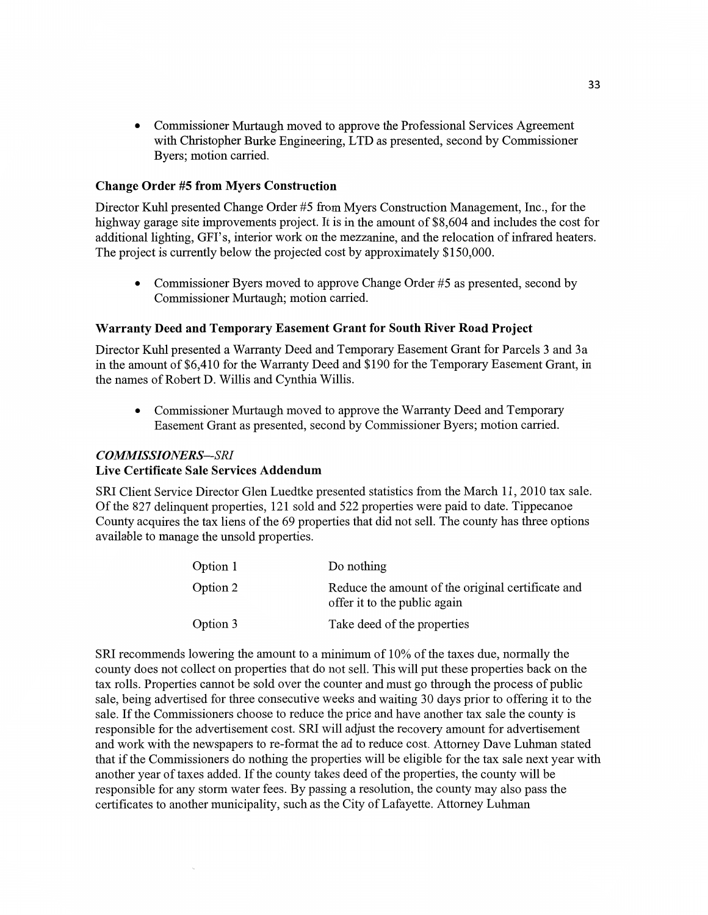**0** Commissioner Murtaugh **moved** to approve the Professional Services **Agreement**  with Christopher Burke Engineering, LTD as presented, **second** by **Commissioner**  Byers; **motion** carried.

### **Change Order** #5 **from Myers Construction**

Director Kuhl presented Change Order #5 from Myers Construction Management, Inc., for the highway garage site improvements project. It is in the amount of \$8,604 and includes the cost for **additional lighting,** GFI's, interior work on the mezzanine, and the relocation of infrared heaters. The project is currently below the projected **cost** by approximately \$150,000.

**0 Commissioner** Byers moved to approve Change Order #5 as presented, second by **Commissioner** Murtaugh; motion carried.

### Warranty **Deed** and **Temporary Easement Grant** for **South River Road Project**

Director Kuhl presented a Warranty Deed and Temporary Easement Grant for Parcels 3 and 3a in the amount of \$6,410 for the Warranty Deed and \$190 for the Temporary Easement Grant, in the names of Robert D. Willis and Cynthia Willis.

**0** Commissioner Murtaugh moved to approve the Warranty Deed and Temporary Easement Grant as presented, second by Commissioner Byers; motion carried.

### *COMMISSIONERS—-SRI*

#### **Live Certificate Sale Services Addendum**

SRI Client Service Director Glen Luedtke presented statistics from the March 11, 2010 tax sale. Of the 827 **delinquent** properties, 121 sold and 522 properties were paid to date. Tippecanoe County acquires the tax **liens** of the 69 properties that did not sell. The county has three options available to **manage** the unsold properties.

| Option 1 | Do nothing                                                                        |
|----------|-----------------------------------------------------------------------------------|
| Option 2 | Reduce the amount of the original certificate and<br>offer it to the public again |
| Option 3 | Take deed of the properties                                                       |

SR1 recommends lowering the **amount** to a **minimum** of 10% of the taxes due, normally the county does not collect on properties that do not sell. This will put these properties back on the tax rolls. Properties cannot be sold over the counter and must go through the process of public sale, being advertised for three consecutive weeks and waiting 30 days prior to offering it to the sale. If the Commissioners choose to reduce the price and have another tax sale the county is responsible for the advertisement cost. SR1 will adjust the recovery amount for advertisement and work with the newspapers to re-format the ad to reduce cost. Attorney Dave **Luhman** stated that if the Commissioners do nothing the properties will be eligible for the tax sale next year with another year of taxes added. If the county takes deed of the properties, the county will be responsible for any storm water fees. By passing a resolution, the county may also pass the certificates to another **municipality, such** as the City of Lafayette. Attorney **Luhman**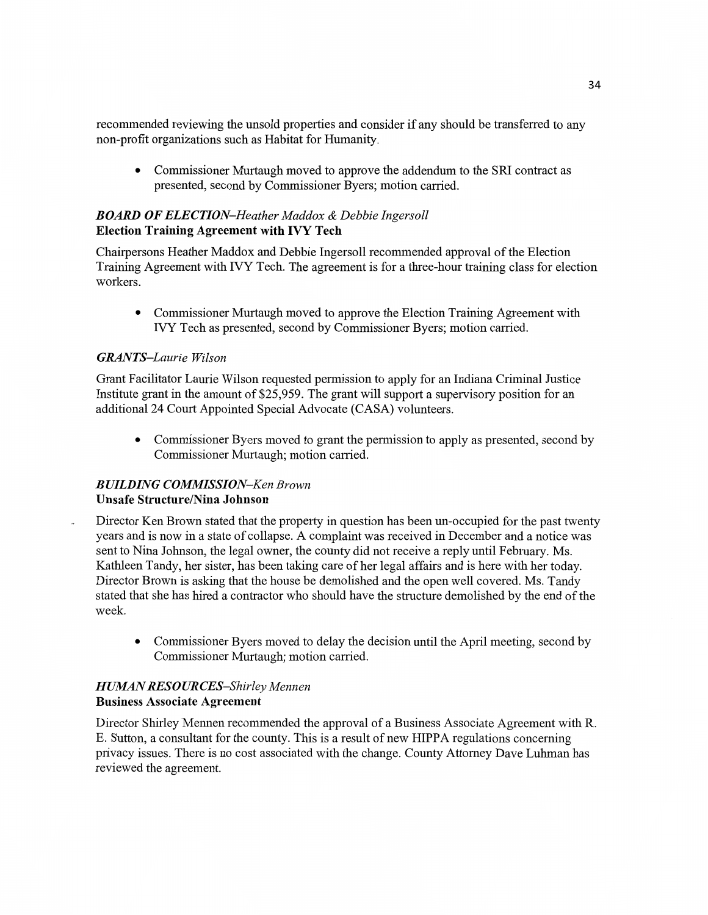**recommended** reviewing the unsold properties and consider if any should be transferred to any **non-profit** organizations such as **Habitat** for **Humanity.** 

**0 Commissioner** Murtaugh **moved** to approve the **addendum** to the SRI contract as presented, second by Commissioner Byers; motion **carn'ed.** 

## *BOARD* OF ELE CT *ION—Heather Maddox & Debbie Ingersoll*  **Election Training Agreement with** IVY **Tech**

**Chaitpersons** Heather Maddox and Debbie Ingersoll recommended approval of the Election Training Agreement **with** IVY Tech. The agreement is for a three—hour training class for election workers.

**0** Commissioner Murtaugh moved to approve the Election Training Agreement with IVY **Tech** as presented, second by **Commissioner** Byers; **motion** carried.

## *GRANTS—Laurie Wilson*

Grant **Facilitator** Laurie Wilson requested permission to apply for an Indiana Criminal Justice Institute grant in the **amount** of **\$25,959.** The grant will support a supervisory position for an additional 24 Court **Appointed** Special Advocate (CASA) volunteers.

• Commissioner Byers moved to grant the permission to apply as presented, second by Commissioner Murtaugh; **motion** carried.

## *BUILDING COMMISSION—Ken Brown*  **Unsafe Structure/Nina Johnson**

Director Ken Brown stated that the property in question has **been** un—occupied for the past twenty years and is now in a state of collapse. A complaint was received in December and a notice was sent to Nina Johnson, the legal owner, the county did not receive a reply **until** February. Ms. Kathleen Tandy, her sister, has **been** taking care of her legal affairs and is here with her today. Director **Brown** is asking **that** the **house** be **demolished** and the open well covered. Ms. Tandy stated that she has hired a contractor who should have the structure demolished by the end of the week.

**0** Commissioner Byers **moved** to delay the decision until the April meeting, second by **Commissioner** Murtaugh; **motion** carried.

### **HUMAN RESOURCES-Shirley Mennen Business Associate Agreement**

Director Shirley 'Mennen recommended the approval of a **Business** Associate Agreement with R. E. **Sutton,** a consultant for the county. **This** is a result of new **HIPPA** regulations concerning privacy issues. There is no cost associated with the change. County Attorney Dave Luhman has reviewed the agreement.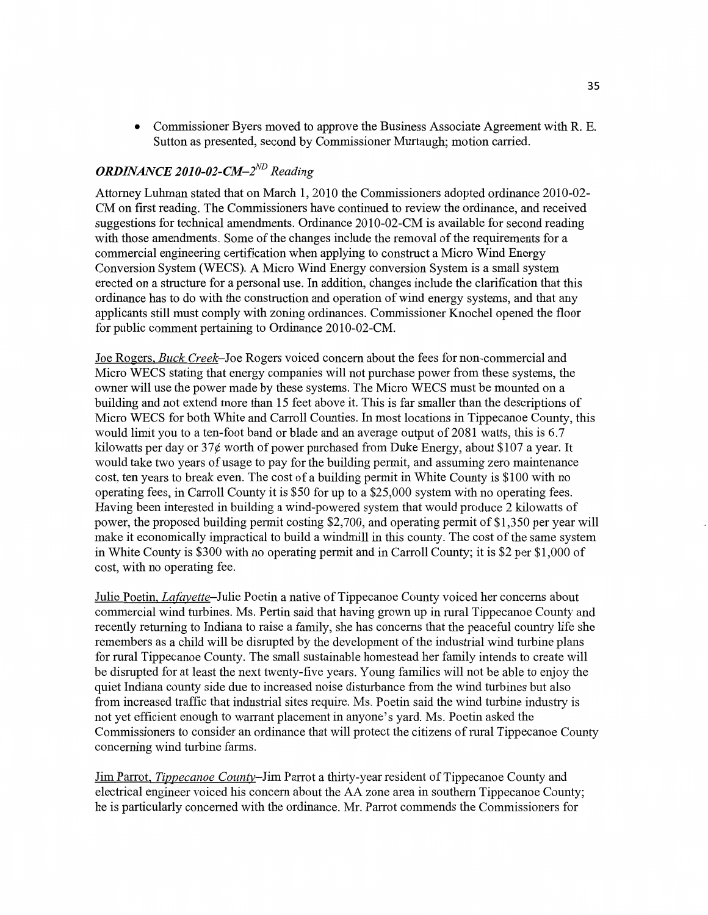**0** Commissioner Byers moved to approve the **Business** Associate Agreement with R. E. **Sutton** as presented, second by **Commissioner** Murtaugh; **motion** carried.

## *ORDINANCE 2010-02-CM—2ND Reading*

Attorney **Luhman** stated that on March 1, 2010 the Commissioners adopted ordinance 2010-02- CM on first reading. The **Commissioners have** continued to review the ordinance, and received suggestions for technical **amendments.** Ordinance 2010-02-CM is available for second reading with those amendments. Some of the changes include the removal of the requirements for **<sup>a</sup>** commercial engineering certification when applying to construct a Micro **Wind** Energy Conversion System (WECS). **A** Micro Wind Energy conversion System is a small system erected on a structure for a personal use. In **addition,** changes **include** the clarification **that** this ordinance has to do with the construction and operation of **Wind** energy systems, and that any applicants still must comply with zoning ordinances. Commissioner Knochel opened the **floor**  for public comment pertaining to Ordinance 2010-02-CM.

Joe Rogers, *Buck Creek—Joe* Rogers voiced concern about the fees for non-commercial and Micro WECS stating that energy companies will not purchase power from these systems, the owner will use the power made by these systems. The Micro WECS must be mounted on a building and not extend more **than** 15 feet above it. This is far smaller **than** the descriptions of Micro WECS for **both** White and Carroll Counties. In most locations in Tippecanoe County, **this**  would **limit** you to a ten-foot band or blade and an average output of 2081 watts, this is 6.7 kilowatts per day or 37¢ worth of power purchased from Duke Energy, about \$107 a year. It would take two years of usage to pay for the building permit, and assuming zero maintenance cost, ten years to break even. The **cost** of a building permit in White County is \$100 with no operating fees, in Carroll County it is \$50 for up to a \$25,000 system with no operating fees. Having been interested in building a wind-powered system **that** would produce 2 kilowatts of power, the proposed building permit costing \$2,700, and operating permit of \$1,350 per year will make it economically impractical to build a Windmill in *this* county. The cost of the same system in White County is \$300 with no operating permit and in Carroll County; it is \$2 per \$1,000 of cost, with no operating fee.

Julie Poetin, Lafayette—Julie Poetin **a** native of Tippecanoe County voiced her concerns about commercial Wind turbines. Ms. Pertin said that having grown up in rural Tippecanoe County and recently returning to Indiana to raise a family, she has concerns **that** the peaceful country life she remembers as a child will be disrupted by the development of the industrial wind turbine plans for rural Tippecanoe County. The small sustainable homestead her family intends to create will be disrupted for at least the next twenty-five years. Young families will not be able to enjoy the quiet Indiana **county** side due to increased **noise** disturbance from the wind turbines but also from increased traffic that industrial sites require. Ms. Poetin said the wind turbine industry is not yet efficient enough to warrant placement in anyone' **<sup>s</sup>**yard. Ms. Poetin asked the Commissioners to consider an ordinance that will protect the citizens of rural Tippecanoe County concerning wind turbine farms.

Jim Parrot, *Tiggecanoe County—Jim* Parrot a thirty—year resident of Tippecanoe County and electrical engineer voiced his concern about the AA zone area in southern Tippecanoe County; he is particularly concerned with the **ordinance.** Mr. Parrot commends the Commissioners for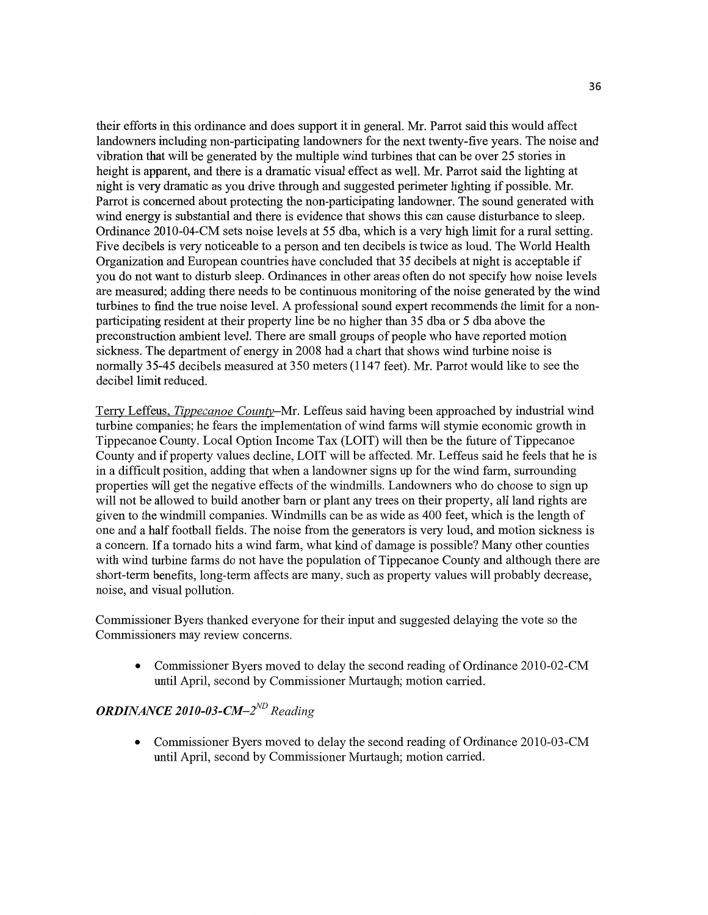their efforts in **this ordinance** and does **support** it in general. Mr. Parrot said this would affect landowners including non-participating landowners for the next twenty-five years. The noise and vibration that will be generated by the multiple wind turbines **that** can be over 25 stories in height is apparent, and there is a dramatic visual effect as well. Mr. Parrot said the lighting at night is very dramatic as you drive through and suggested perimeter lighting if possible. Mr. Parrot is concerned about protecting the non-participating landowner. The sound generated with wind energy is substantial and there is evidence **that** shows this can cause disturbance to sleep. Ordinance 2010-04—CM sets noise levels at 55 dba, which is a very high **limit** for a rural **setting. Five** decibels is very noticeable to a person and ten decibels is twice as loud. The World Health Organization and European countries have concluded that 35 decibels at night is acceptable if you do not want to disturb sleep. Ordinances in other areas often do not specify how noise levels are measured; adding there **needs** to be continuous monitoring of the noise generated by the wind turbines to find the true **noise** level. **A** professional sound expert recommends the limit for **a non**participating resident at their property **line** be no **higher than** 35 dba or 5 dba above the preconstruction ambient level. There are small groups of people who have reported **motion sickness.** The department of energy in 2008 had a chart **that** shows wind turbine noise is normally 35-45 decibels measured at 350 meters (1147 feet). Mr. Parrot would like to see the decibel **limit** reduced.

Terrv Leffeus. *Tippecanoe County—Mr.* Leffeus said having **been** approached by industrial wind turbine companies; he fears the **implementation** of wind farms will stymie economic growth in Tippecanoe County. Local Option Income Tax (LOIT) **will** then be the future of Tippecanoe County and if property values decline, LOIT will be affected. Mr. Leffeus said he feels that he is in a difficult position, adding that when a landowner signs up for the **wind** farm, surrounding properties will get the negative effects of the windmills. Landowners who do choose to sign up will not be allowed to build another barn or plant any trees on their property, all **land** rights are given to the Windmill **companies.** Windmills can be as wide as 400 feet, which is the length of one and a half football fields. The noise from the generators is very loud, and motion **sickness** is a concern. If a tornado hits a wind farm, what kind of damage is possible? Many other counties with wind turbine farms do not have the population of Tippecanoe County and although there are short-term benefits, long—term affects are many, **such** as property values will probably decrease, noise, and visual **pollution.** 

Commissioner Byers thanked everyone for their **input** and suggested delaying the vote so the Commissioners may review concerns.

• Commissioner Byers moved to delay the second reading of Ordinance 2010-02-CM until April, second by **Commissioner** Mmtaugh; **motion** carried.

# *ORDINANCE 2010-03-CM—2ND Reading*

**0** Commissioner Byers moved to delay the second reading of Ordinance 2010-03-CM **until** April, second by Commissioner Murtaugh; motion carried.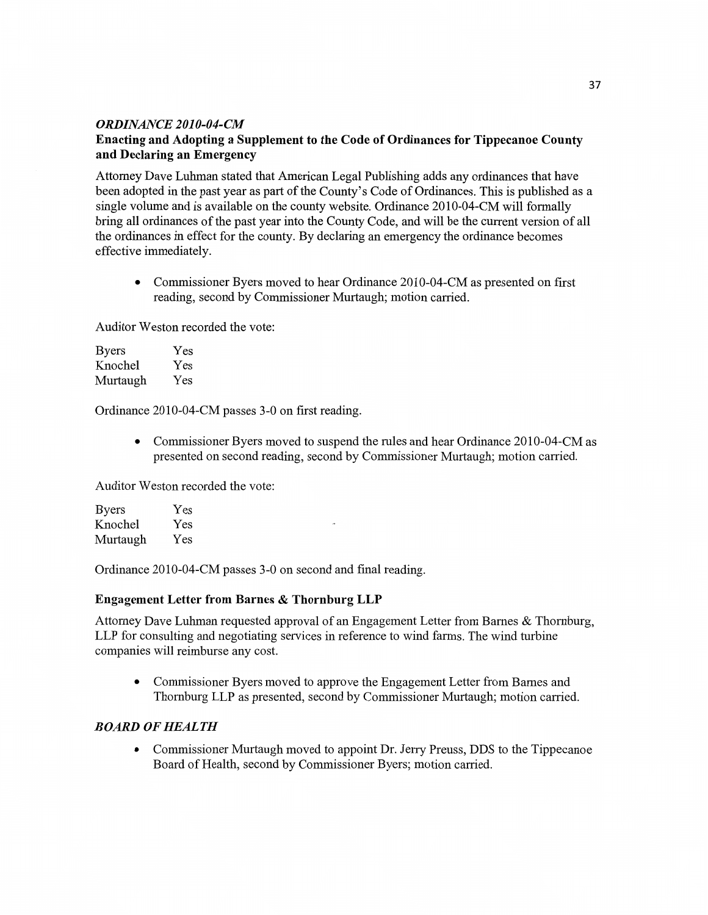### *ORDINANCE 2010-04-CM*

## **Enacting** and **Adopting a Supplement** to the **Code** of **Ordinances** for **Tippecanoe County**  and Declaring an **Emergency**

Attorney **Dave Luhman** stated **that** American Legal Publishing adds any ordinances that have been adopted in the past year as part of the County's Code of Ordinances. **This** is published as <sup>a</sup> single volume and is available on the county website. Ordinance 2010-04-CM **will** formally bring all ordinances of the past year into the County Code, and will be the current version of all the **ordinances** in effect for the county. By declaring an emergency the ordinance becomes effective immediately.

**0** Commissioner Byers **moved** to hear Ordinance 2010—04—CM as presented on first reading, second by Commissioner Murtaugh; motion carried.

Auditor Weston recorded the vote:

| <b>Byers</b> | Yes |
|--------------|-----|
| Knochel      | Yes |
| Murtaugh     | Yes |

**Ordinance** 2010-04—CM passes 3-0 on first reading.

**0** Commissioner Byers moved to suspend the rules and hear Ordinance 2010-04—CM as presented on second reading, second by Commissioner Murtaugh; motion carried.

Auditor Weston recorded the vote:

| <b>Byers</b> | Yes       |   |
|--------------|-----------|---|
| Knochel      | Yes       | × |
| Murtaugh     | $\rm Yes$ |   |

Ordinance 2010-04-CM passes 3-0 on second and **final** reading.

### **Engagement Letter** from **Barnes & Thornburg** LLP

Attorney Dave **Luhman** requested approval of an Engagement **Letter** from Barnes & Thornburg, LLP for consulting and negotiating services in reference to wind **farms.** The **wind** turbine companies will reimburse any cost.

**0** Commissioner Byers **moved** to approve the Engagement Letter from Barnes and Thomburg LLP as presented, second by Commissioner Murtaugh; **motion** carried.

### *BOARD* OF *HEALTH*

• Commissioner Murtaugh moved to appoint Dr. Jerry Preuss, DDS to the Tippecanoe Board of **Health,** second by **Commissioner** Byers; **motion** carried.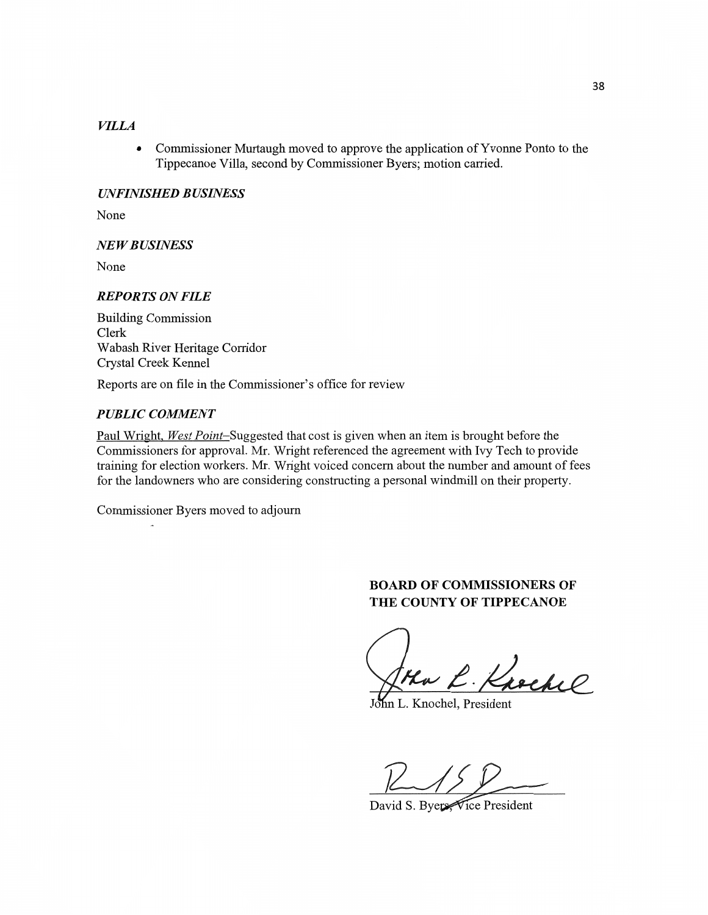## *VILLA*

**0** Commissioner Murtaugh **moved** to approve the **application** of **Yvonne** Ponto to the Tippecanoe Villa, second by **Commissioner** Byers; **motion** carried.

#### *UNFINISHED B USINESS*

None

#### NE WB *USINESS*

None

#### *REPORTS* ON *FILE*

**Building Commission**  Clerk Wabash River Heritage Corridor Crystal Creek Kennel

Reports are on file in the Commissioner's office for review

#### *PUBLIC COMMENT*

 $\sim$ 

Paul Wright, West Point-Suggested that cost is given when an item is brought before the Commissioners for approval. Mr. Wright referenced the agreement with Ivy Tech to provide training for election workers. Mr. Wright voiced concern about the number and amount of fees for the landowners who are considering constructing a personal windmill on their property.

**Commissioner** Byers moved to adjourn

## **BOARD OF COMMISSIONERS OF** THE **COUNTY** OF **TIPPECANOE**

Ha L. Knoche

John L. Knochel, President

 $R15R$ 

David S. Byers<sup>Vice</sup> President